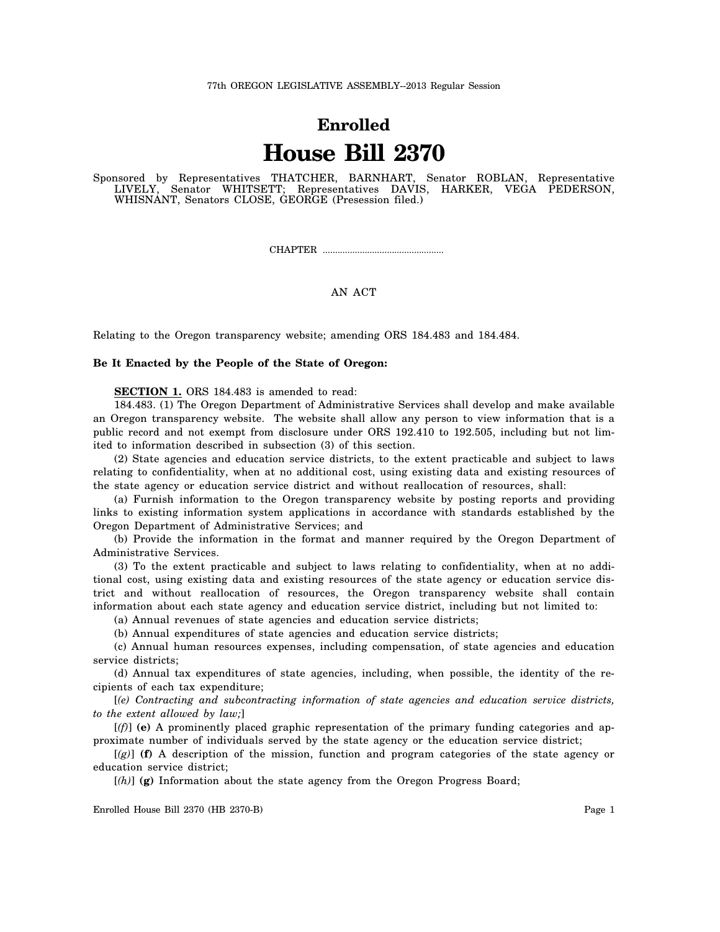## **Enrolled House Bill 2370**

Sponsored by Representatives THATCHER, BARNHART, Senator ROBLAN, Representative LIVELY, Senator WHITSETT; Representatives DAVIS, HARKER, VEGA PEDERSON, WHISNANT, Senators CLOSE, GEORGE (Presession filed.)

CHAPTER .................................................

## AN ACT

Relating to the Oregon transparency website; amending ORS 184.483 and 184.484.

## **Be It Enacted by the People of the State of Oregon:**

**SECTION 1.** ORS 184.483 is amended to read:

184.483. (1) The Oregon Department of Administrative Services shall develop and make available an Oregon transparency website. The website shall allow any person to view information that is a public record and not exempt from disclosure under ORS 192.410 to 192.505, including but not limited to information described in subsection (3) of this section.

(2) State agencies and education service districts, to the extent practicable and subject to laws relating to confidentiality, when at no additional cost, using existing data and existing resources of the state agency or education service district and without reallocation of resources, shall:

(a) Furnish information to the Oregon transparency website by posting reports and providing links to existing information system applications in accordance with standards established by the Oregon Department of Administrative Services; and

(b) Provide the information in the format and manner required by the Oregon Department of Administrative Services.

(3) To the extent practicable and subject to laws relating to confidentiality, when at no additional cost, using existing data and existing resources of the state agency or education service district and without reallocation of resources, the Oregon transparency website shall contain information about each state agency and education service district, including but not limited to:

(a) Annual revenues of state agencies and education service districts;

(b) Annual expenditures of state agencies and education service districts;

(c) Annual human resources expenses, including compensation, of state agencies and education service districts;

(d) Annual tax expenditures of state agencies, including, when possible, the identity of the recipients of each tax expenditure;

[*(e) Contracting and subcontracting information of state agencies and education service districts, to the extent allowed by law;*]

[*(f)*] **(e)** A prominently placed graphic representation of the primary funding categories and approximate number of individuals served by the state agency or the education service district;

 $[(g)]$  (f) A description of the mission, function and program categories of the state agency or education service district;

[*(h)*] **(g)** Information about the state agency from the Oregon Progress Board;

Enrolled House Bill 2370 (HB 2370-B) Page 1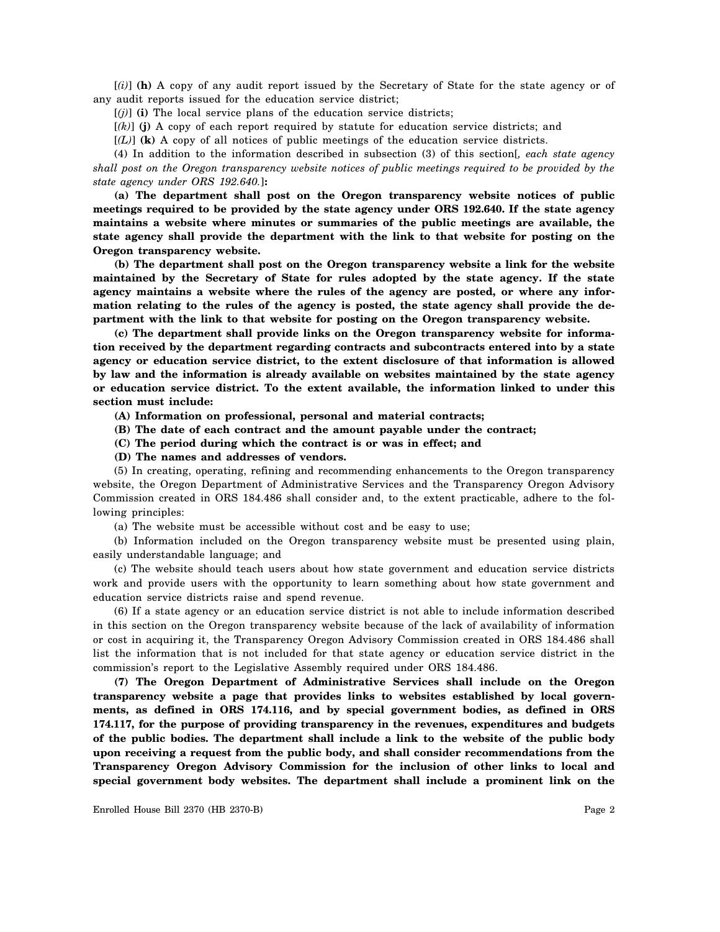[*(i)*] **(h)** A copy of any audit report issued by the Secretary of State for the state agency or of any audit reports issued for the education service district;

 $[(j)]$  (i) The local service plans of the education service districts;

[*(k)*] **(j)** A copy of each report required by statute for education service districts; and

[*(L)*] **(k)** A copy of all notices of public meetings of the education service districts.

(4) In addition to the information described in subsection (3) of this section[*, each state agency shall post on the Oregon transparency website notices of public meetings required to be provided by the state agency under ORS 192.640.*]**:**

**(a) The department shall post on the Oregon transparency website notices of public meetings required to be provided by the state agency under ORS 192.640. If the state agency maintains a website where minutes or summaries of the public meetings are available, the state agency shall provide the department with the link to that website for posting on the Oregon transparency website.**

**(b) The department shall post on the Oregon transparency website a link for the website maintained by the Secretary of State for rules adopted by the state agency. If the state agency maintains a website where the rules of the agency are posted, or where any information relating to the rules of the agency is posted, the state agency shall provide the department with the link to that website for posting on the Oregon transparency website.**

**(c) The department shall provide links on the Oregon transparency website for information received by the department regarding contracts and subcontracts entered into by a state agency or education service district, to the extent disclosure of that information is allowed by law and the information is already available on websites maintained by the state agency or education service district. To the extent available, the information linked to under this section must include:**

**(A) Information on professional, personal and material contracts;**

**(B) The date of each contract and the amount payable under the contract;**

**(C) The period during which the contract is or was in effect; and**

**(D) The names and addresses of vendors.**

(5) In creating, operating, refining and recommending enhancements to the Oregon transparency website, the Oregon Department of Administrative Services and the Transparency Oregon Advisory Commission created in ORS 184.486 shall consider and, to the extent practicable, adhere to the following principles:

(a) The website must be accessible without cost and be easy to use;

(b) Information included on the Oregon transparency website must be presented using plain, easily understandable language; and

(c) The website should teach users about how state government and education service districts work and provide users with the opportunity to learn something about how state government and education service districts raise and spend revenue.

(6) If a state agency or an education service district is not able to include information described in this section on the Oregon transparency website because of the lack of availability of information or cost in acquiring it, the Transparency Oregon Advisory Commission created in ORS 184.486 shall list the information that is not included for that state agency or education service district in the commission's report to the Legislative Assembly required under ORS 184.486.

**(7) The Oregon Department of Administrative Services shall include on the Oregon transparency website a page that provides links to websites established by local governments, as defined in ORS 174.116, and by special government bodies, as defined in ORS 174.117, for the purpose of providing transparency in the revenues, expenditures and budgets of the public bodies. The department shall include a link to the website of the public body upon receiving a request from the public body, and shall consider recommendations from the Transparency Oregon Advisory Commission for the inclusion of other links to local and special government body websites. The department shall include a prominent link on the**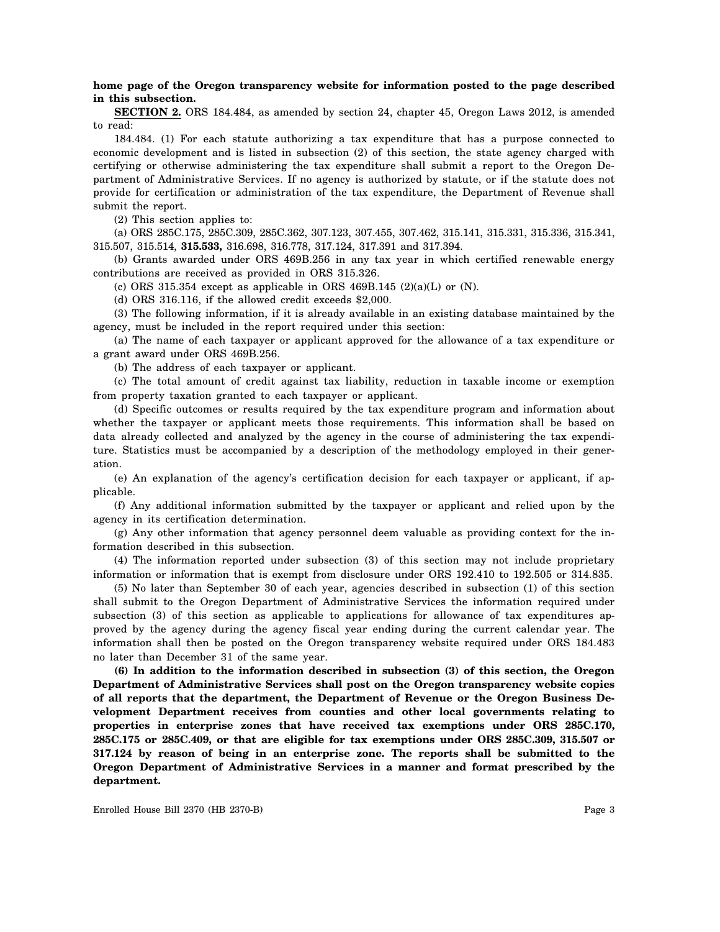## **home page of the Oregon transparency website for information posted to the page described in this subsection.**

**SECTION 2.** ORS 184.484, as amended by section 24, chapter 45, Oregon Laws 2012, is amended to read:

184.484. (1) For each statute authorizing a tax expenditure that has a purpose connected to economic development and is listed in subsection (2) of this section, the state agency charged with certifying or otherwise administering the tax expenditure shall submit a report to the Oregon Department of Administrative Services. If no agency is authorized by statute, or if the statute does not provide for certification or administration of the tax expenditure, the Department of Revenue shall submit the report.

(2) This section applies to:

(a) ORS 285C.175, 285C.309, 285C.362, 307.123, 307.455, 307.462, 315.141, 315.331, 315.336, 315.341, 315.507, 315.514, **315.533,** 316.698, 316.778, 317.124, 317.391 and 317.394.

(b) Grants awarded under ORS 469B.256 in any tax year in which certified renewable energy contributions are received as provided in ORS 315.326.

(c) ORS 315.354 except as applicable in ORS 469B.145  $(2)(a)(L)$  or  $(N)$ .

(d) ORS 316.116, if the allowed credit exceeds \$2,000.

(3) The following information, if it is already available in an existing database maintained by the agency, must be included in the report required under this section:

(a) The name of each taxpayer or applicant approved for the allowance of a tax expenditure or a grant award under ORS 469B.256.

(b) The address of each taxpayer or applicant.

(c) The total amount of credit against tax liability, reduction in taxable income or exemption from property taxation granted to each taxpayer or applicant.

(d) Specific outcomes or results required by the tax expenditure program and information about whether the taxpayer or applicant meets those requirements. This information shall be based on data already collected and analyzed by the agency in the course of administering the tax expenditure. Statistics must be accompanied by a description of the methodology employed in their generation.

(e) An explanation of the agency's certification decision for each taxpayer or applicant, if applicable.

(f) Any additional information submitted by the taxpayer or applicant and relied upon by the agency in its certification determination.

(g) Any other information that agency personnel deem valuable as providing context for the information described in this subsection.

(4) The information reported under subsection (3) of this section may not include proprietary information or information that is exempt from disclosure under ORS 192.410 to 192.505 or 314.835.

(5) No later than September 30 of each year, agencies described in subsection (1) of this section shall submit to the Oregon Department of Administrative Services the information required under subsection (3) of this section as applicable to applications for allowance of tax expenditures approved by the agency during the agency fiscal year ending during the current calendar year. The information shall then be posted on the Oregon transparency website required under ORS 184.483 no later than December 31 of the same year.

**(6) In addition to the information described in subsection (3) of this section, the Oregon Department of Administrative Services shall post on the Oregon transparency website copies of all reports that the department, the Department of Revenue or the Oregon Business Development Department receives from counties and other local governments relating to properties in enterprise zones that have received tax exemptions under ORS 285C.170, 285C.175 or 285C.409, or that are eligible for tax exemptions under ORS 285C.309, 315.507 or 317.124 by reason of being in an enterprise zone. The reports shall be submitted to the Oregon Department of Administrative Services in a manner and format prescribed by the department.**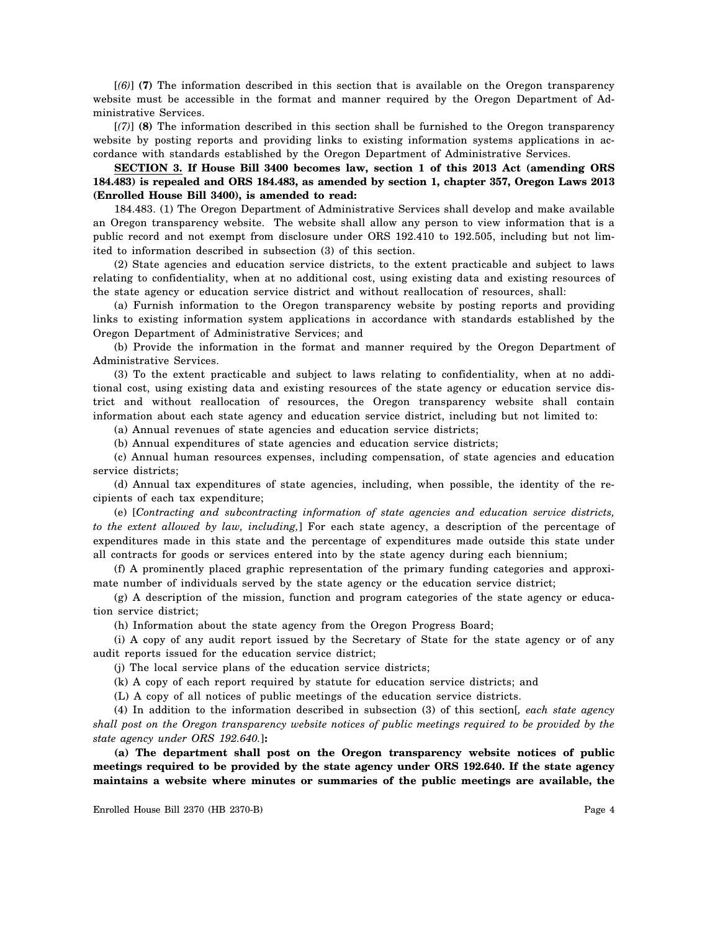[*(6)*] **(7)** The information described in this section that is available on the Oregon transparency website must be accessible in the format and manner required by the Oregon Department of Administrative Services.

[*(7)*] **(8)** The information described in this section shall be furnished to the Oregon transparency website by posting reports and providing links to existing information systems applications in accordance with standards established by the Oregon Department of Administrative Services.

**SECTION 3. If House Bill 3400 becomes law, section 1 of this 2013 Act (amending ORS 184.483) is repealed and ORS 184.483, as amended by section 1, chapter 357, Oregon Laws 2013 (Enrolled House Bill 3400), is amended to read:**

184.483. (1) The Oregon Department of Administrative Services shall develop and make available an Oregon transparency website. The website shall allow any person to view information that is a public record and not exempt from disclosure under ORS 192.410 to 192.505, including but not limited to information described in subsection (3) of this section.

(2) State agencies and education service districts, to the extent practicable and subject to laws relating to confidentiality, when at no additional cost, using existing data and existing resources of the state agency or education service district and without reallocation of resources, shall:

(a) Furnish information to the Oregon transparency website by posting reports and providing links to existing information system applications in accordance with standards established by the Oregon Department of Administrative Services; and

(b) Provide the information in the format and manner required by the Oregon Department of Administrative Services.

(3) To the extent practicable and subject to laws relating to confidentiality, when at no additional cost, using existing data and existing resources of the state agency or education service district and without reallocation of resources, the Oregon transparency website shall contain information about each state agency and education service district, including but not limited to:

(a) Annual revenues of state agencies and education service districts;

(b) Annual expenditures of state agencies and education service districts;

(c) Annual human resources expenses, including compensation, of state agencies and education service districts;

(d) Annual tax expenditures of state agencies, including, when possible, the identity of the recipients of each tax expenditure;

(e) [*Contracting and subcontracting information of state agencies and education service districts, to the extent allowed by law, including,*] For each state agency, a description of the percentage of expenditures made in this state and the percentage of expenditures made outside this state under all contracts for goods or services entered into by the state agency during each biennium;

(f) A prominently placed graphic representation of the primary funding categories and approximate number of individuals served by the state agency or the education service district;

(g) A description of the mission, function and program categories of the state agency or education service district;

(h) Information about the state agency from the Oregon Progress Board;

(i) A copy of any audit report issued by the Secretary of State for the state agency or of any audit reports issued for the education service district;

(j) The local service plans of the education service districts;

(k) A copy of each report required by statute for education service districts; and

(L) A copy of all notices of public meetings of the education service districts.

(4) In addition to the information described in subsection (3) of this section[*, each state agency shall post on the Oregon transparency website notices of public meetings required to be provided by the state agency under ORS 192.640.*]**:**

**(a) The department shall post on the Oregon transparency website notices of public meetings required to be provided by the state agency under ORS 192.640. If the state agency maintains a website where minutes or summaries of the public meetings are available, the**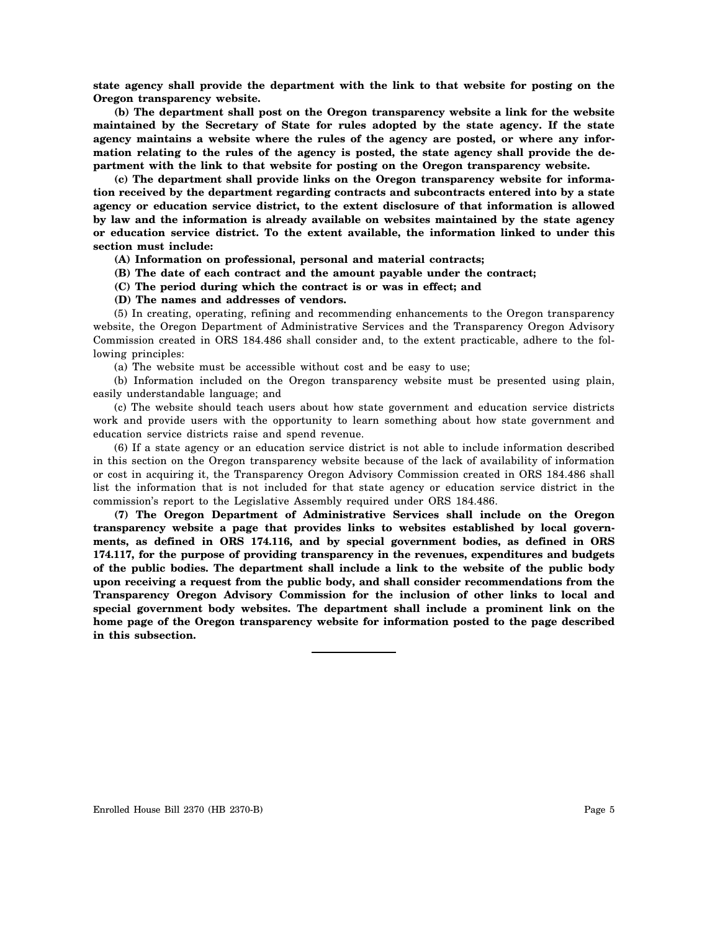**state agency shall provide the department with the link to that website for posting on the Oregon transparency website.**

**(b) The department shall post on the Oregon transparency website a link for the website maintained by the Secretary of State for rules adopted by the state agency. If the state agency maintains a website where the rules of the agency are posted, or where any information relating to the rules of the agency is posted, the state agency shall provide the department with the link to that website for posting on the Oregon transparency website.**

**(c) The department shall provide links on the Oregon transparency website for information received by the department regarding contracts and subcontracts entered into by a state agency or education service district, to the extent disclosure of that information is allowed by law and the information is already available on websites maintained by the state agency or education service district. To the extent available, the information linked to under this section must include:**

**(A) Information on professional, personal and material contracts;**

- **(B) The date of each contract and the amount payable under the contract;**
- **(C) The period during which the contract is or was in effect; and**
- **(D) The names and addresses of vendors.**

(5) In creating, operating, refining and recommending enhancements to the Oregon transparency website, the Oregon Department of Administrative Services and the Transparency Oregon Advisory Commission created in ORS 184.486 shall consider and, to the extent practicable, adhere to the following principles:

(a) The website must be accessible without cost and be easy to use;

(b) Information included on the Oregon transparency website must be presented using plain, easily understandable language; and

(c) The website should teach users about how state government and education service districts work and provide users with the opportunity to learn something about how state government and education service districts raise and spend revenue.

(6) If a state agency or an education service district is not able to include information described in this section on the Oregon transparency website because of the lack of availability of information or cost in acquiring it, the Transparency Oregon Advisory Commission created in ORS 184.486 shall list the information that is not included for that state agency or education service district in the commission's report to the Legislative Assembly required under ORS 184.486.

**(7) The Oregon Department of Administrative Services shall include on the Oregon transparency website a page that provides links to websites established by local governments, as defined in ORS 174.116, and by special government bodies, as defined in ORS 174.117, for the purpose of providing transparency in the revenues, expenditures and budgets of the public bodies. The department shall include a link to the website of the public body upon receiving a request from the public body, and shall consider recommendations from the Transparency Oregon Advisory Commission for the inclusion of other links to local and special government body websites. The department shall include a prominent link on the home page of the Oregon transparency website for information posted to the page described in this subsection.**